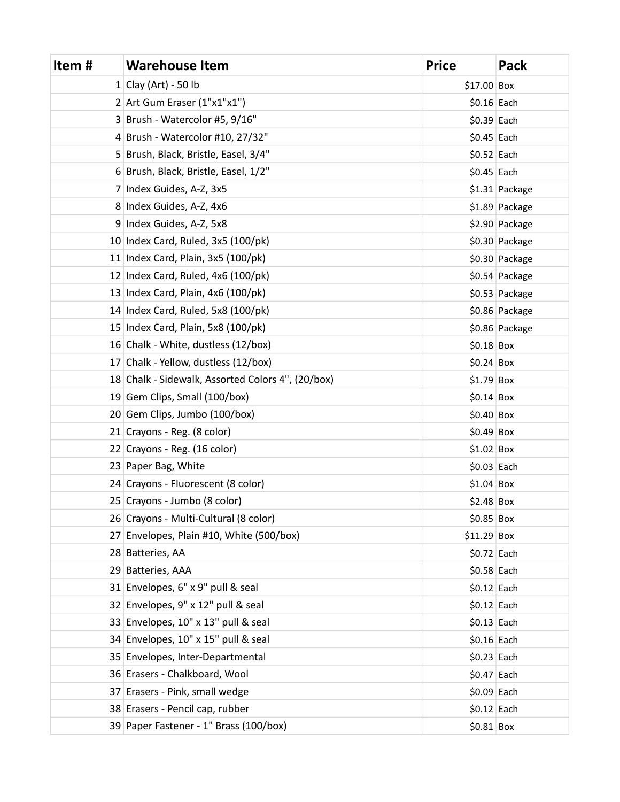| Item# | <b>Warehouse Item</b>                             | <b>Price</b> | Pack           |
|-------|---------------------------------------------------|--------------|----------------|
|       | 1 Clay (Art) - 50 lb                              | $$17.00$ Box |                |
|       | $2$ Art Gum Eraser (1"x1"x1")                     | $$0.16$ Each |                |
|       | 3 Brush - Watercolor #5, 9/16"                    | $$0.39$ Each |                |
|       | 4 Brush - Watercolor #10, 27/32"                  | $$0.45$ Each |                |
|       | 5 Brush, Black, Bristle, Easel, 3/4"              | $$0.52$ Each |                |
|       | 6 Brush, Black, Bristle, Easel, 1/2"              | $$0.45$ Each |                |
|       | 7 Index Guides, A-Z, 3x5                          |              | \$1.31 Package |
|       | 8 Index Guides, A-Z, 4x6                          |              | \$1.89 Package |
|       | 9 Index Guides, A-Z, 5x8                          |              | \$2.90 Package |
|       | 10 Index Card, Ruled, $3x5(100/pk)$               |              | \$0.30 Package |
|       | 11 Index Card, Plain, $3x5(100/\pi k)$            |              | \$0.30 Package |
|       | 12 Index Card, Ruled, 4x6 (100/pk)                |              | \$0.54 Package |
|       | 13 Index Card, Plain, 4x6 (100/pk)                |              | \$0.53 Package |
|       | 14 Index Card, Ruled, 5x8 (100/pk)                |              | \$0.86 Package |
|       | 15 Index Card, Plain, 5x8 (100/pk)                |              | \$0.86 Package |
|       | 16 Chalk - White, dustless (12/box)               | $$0.18$ Box  |                |
|       | 17 Chalk - Yellow, dustless (12/box)              | $$0.24$ Box  |                |
|       | 18 Chalk - Sidewalk, Assorted Colors 4", (20/box) | $$1.79$ Box  |                |
|       | 19 Gem Clips, Small (100/box)                     | $$0.14$ Box  |                |
|       | 20 Gem Clips, Jumbo (100/box)                     | $$0.40$ Box  |                |
|       | 21 Crayons - Reg. (8 color)                       | $$0.49$ Box  |                |
|       | 22 Crayons - Reg. (16 color)                      | $$1.02$ Box  |                |
|       | 23 Paper Bag, White                               | $$0.03$ Each |                |
|       | 24 Crayons - Fluorescent (8 color)                | $$1.04$ Box  |                |
|       | 25 Crayons - Jumbo (8 color)                      | $$2.48$ Box  |                |
|       | 26 Crayons - Multi-Cultural (8 color)             | $$0.85$ Box  |                |
|       | 27 Envelopes, Plain #10, White (500/box)          | \$11.29 Box  |                |
|       | 28 Batteries, AA                                  | $$0.72$ Each |                |
|       | 29 Batteries, AAA                                 | $$0.58$ Each |                |
|       | 31 Envelopes, 6" x 9" pull & seal                 | $$0.12$ Each |                |
|       | 32 Envelopes, 9" x 12" pull & seal                | $$0.12$ Each |                |
|       | 33 Envelopes, 10" x 13" pull & seal               | $$0.13$ Each |                |
|       | 34 Envelopes, 10" x 15" pull & seal               | $$0.16$ Each |                |
|       | 35 Envelopes, Inter-Departmental                  | $$0.23$ Each |                |
|       | 36 Erasers - Chalkboard, Wool                     | $$0.47$ Each |                |
|       | 37 Erasers - Pink, small wedge                    | $$0.09$ Each |                |
|       | 38 Erasers - Pencil cap, rubber                   | $$0.12$ Each |                |
|       | 39 Paper Fastener - 1" Brass (100/box)            | $$0.81$ Box  |                |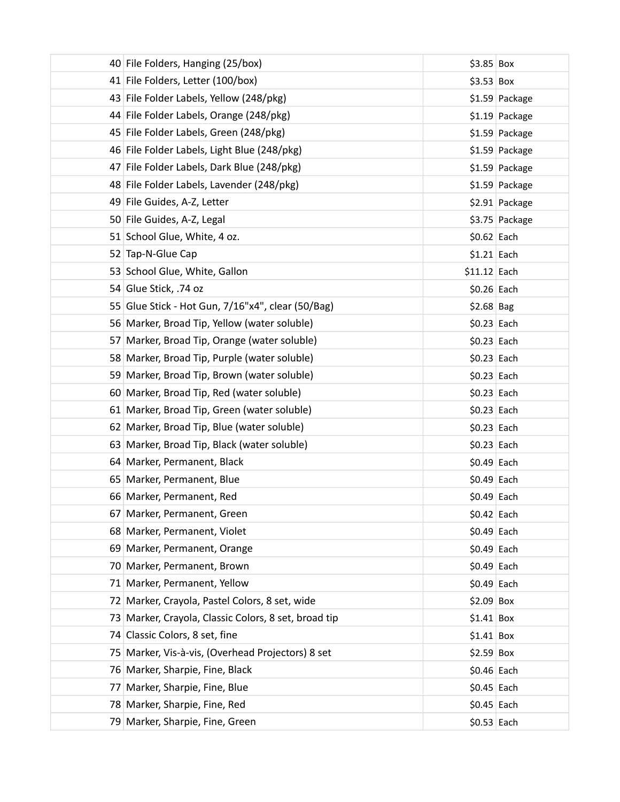| 40 File Folders, Hanging (25/box)                    | $$3.85$ Box     |
|------------------------------------------------------|-----------------|
| 41 File Folders, Letter (100/box)                    | $$3.53$ Box     |
| 43 File Folder Labels, Yellow (248/pkg)              | \$1.59 Package  |
| 44 File Folder Labels, Orange (248/pkg)              | $$1.19$ Package |
| 45 File Folder Labels, Green (248/pkg)               | \$1.59 Package  |
| 46 File Folder Labels, Light Blue (248/pkg)          | \$1.59 Package  |
| 47 File Folder Labels, Dark Blue (248/pkg)           | \$1.59 Package  |
| 48 File Folder Labels, Lavender (248/pkg)            | \$1.59 Package  |
| 49 File Guides, A-Z, Letter                          | \$2.91 Package  |
| 50 File Guides, A-Z, Legal                           | \$3.75 Package  |
| 51 School Glue, White, 4 oz.                         | $$0.62$ Each    |
| 52 Tap-N-Glue Cap                                    | $$1.21$ Each    |
| 53 School Glue, White, Gallon                        | $$11.12$ Each   |
| 54 Glue Stick, .74 oz                                | $$0.26$ Each    |
| 55 Glue Stick - Hot Gun, 7/16"x4", clear (50/Bag)    | $$2.68$ Bag     |
| 56 Marker, Broad Tip, Yellow (water soluble)         | $$0.23$ Each    |
| 57 Marker, Broad Tip, Orange (water soluble)         | $$0.23$ Each    |
| 58 Marker, Broad Tip, Purple (water soluble)         | $$0.23$ Each    |
| 59 Marker, Broad Tip, Brown (water soluble)          | $$0.23$ Each    |
| 60 Marker, Broad Tip, Red (water soluble)            | $$0.23$ Each    |
| 61 Marker, Broad Tip, Green (water soluble)          | $$0.23$ Each    |
| 62 Marker, Broad Tip, Blue (water soluble)           | $$0.23$ Each    |
| 63 Marker, Broad Tip, Black (water soluble)          | $$0.23$ Each    |
| 64 Marker, Permanent, Black                          | $$0.49$ Each    |
| 65 Marker, Permanent, Blue                           | $$0.49$ Each    |
| 66 Marker, Permanent, Red                            | $$0.49$ Each    |
| 67 Marker, Permanent, Green                          | $$0.42$ Each    |
| 68 Marker, Permanent, Violet                         | $$0.49$ Each    |
| 69 Marker, Permanent, Orange                         | $$0.49$ Each    |
| 70 Marker, Permanent, Brown                          | $$0.49$ Each    |
| 71 Marker, Permanent, Yellow                         | $$0.49$ Each    |
| 72 Marker, Crayola, Pastel Colors, 8 set, wide       | $$2.09$ Box     |
| 73 Marker, Crayola, Classic Colors, 8 set, broad tip | $$1.41$ Box     |
| 74 Classic Colors, 8 set, fine                       | $$1.41$ Box     |
| 75 Marker, Vis-à-vis, (Overhead Projectors) 8 set    | $$2.59$ Box     |
| 76 Marker, Sharpie, Fine, Black                      | $$0.46$ Each    |
| 77 Marker, Sharpie, Fine, Blue                       | $$0.45$ Each    |
| 78 Marker, Sharpie, Fine, Red                        | $$0.45$ Each    |
| 79 Marker, Sharpie, Fine, Green                      | $$0.53$ Each    |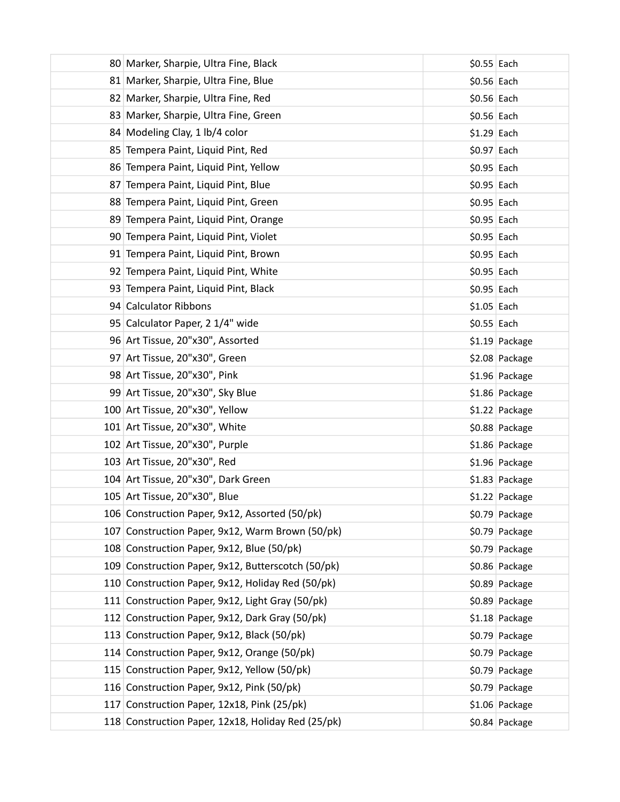| 80 Marker, Sharpie, Ultra Fine, Black              | $$0.55$ Each |                 |
|----------------------------------------------------|--------------|-----------------|
| 81 Marker, Sharpie, Ultra Fine, Blue               | $$0.56$ Each |                 |
| 82 Marker, Sharpie, Ultra Fine, Red                | $$0.56$ Each |                 |
| 83 Marker, Sharpie, Ultra Fine, Green              | $$0.56$ Each |                 |
| 84 Modeling Clay, 1 lb/4 color                     | $$1.29$ Each |                 |
| 85 Tempera Paint, Liquid Pint, Red                 | $$0.97$ Each |                 |
| 86 Tempera Paint, Liquid Pint, Yellow              | $$0.95$ Each |                 |
| 87 Tempera Paint, Liquid Pint, Blue                | $$0.95$ Each |                 |
| 88 Tempera Paint, Liquid Pint, Green               | $$0.95$ Each |                 |
| 89 Tempera Paint, Liquid Pint, Orange              | $$0.95$ Each |                 |
| 90 Tempera Paint, Liquid Pint, Violet              | $$0.95$ Each |                 |
| 91 Tempera Paint, Liquid Pint, Brown               | $$0.95$ Each |                 |
| 92 Tempera Paint, Liquid Pint, White               | $$0.95$ Each |                 |
| 93 Tempera Paint, Liquid Pint, Black               | $$0.95$ Each |                 |
| 94 Calculator Ribbons                              | $$1.05$ Each |                 |
| 95 Calculator Paper, 2 1/4" wide                   | $$0.55$ Each |                 |
| 96 Art Tissue, 20"x30", Assorted                   |              | $$1.19$ Package |
| 97 Art Tissue, 20"x30", Green                      |              | \$2.08 Package  |
| 98 Art Tissue, 20"x30", Pink                       |              | \$1.96 Package  |
| 99 Art Tissue, 20"x30", Sky Blue                   |              | \$1.86 Package  |
| 100 Art Tissue, 20"x30", Yellow                    |              | \$1.22 Package  |
| 101 Art Tissue, 20"x30", White                     |              | \$0.88 Package  |
| 102 Art Tissue, 20"x30", Purple                    |              | \$1.86 Package  |
| 103 Art Tissue, 20"x30", Red                       |              | \$1.96 Package  |
| 104 Art Tissue, 20"x30", Dark Green                |              | \$1.83 Package  |
| 105 Art Tissue, 20"x30", Blue                      |              | \$1.22 Package  |
| 106 Construction Paper, 9x12, Assorted (50/pk)     |              | \$0.79 Package  |
| 107 Construction Paper, 9x12, Warm Brown (50/pk)   |              | \$0.79 Package  |
| 108 Construction Paper, 9x12, Blue (50/pk)         |              | \$0.79 Package  |
| 109 Construction Paper, 9x12, Butterscotch (50/pk) |              | \$0.86 Package  |
| 110 Construction Paper, 9x12, Holiday Red (50/pk)  |              | \$0.89 Package  |
| 111 Construction Paper, 9x12, Light Gray (50/pk)   |              | \$0.89 Package  |
| 112 Construction Paper, 9x12, Dark Gray (50/pk)    |              | \$1.18 Package  |
| 113 Construction Paper, 9x12, Black (50/pk)        |              | \$0.79 Package  |
| 114 Construction Paper, 9x12, Orange (50/pk)       |              | \$0.79 Package  |
| 115 Construction Paper, 9x12, Yellow (50/pk)       |              | \$0.79 Package  |
| 116 Construction Paper, 9x12, Pink (50/pk)         |              | \$0.79 Package  |
| 117 Construction Paper, 12x18, Pink (25/pk)        |              | \$1.06 Package  |
| 118 Construction Paper, 12x18, Holiday Red (25/pk) |              | \$0.84 Package  |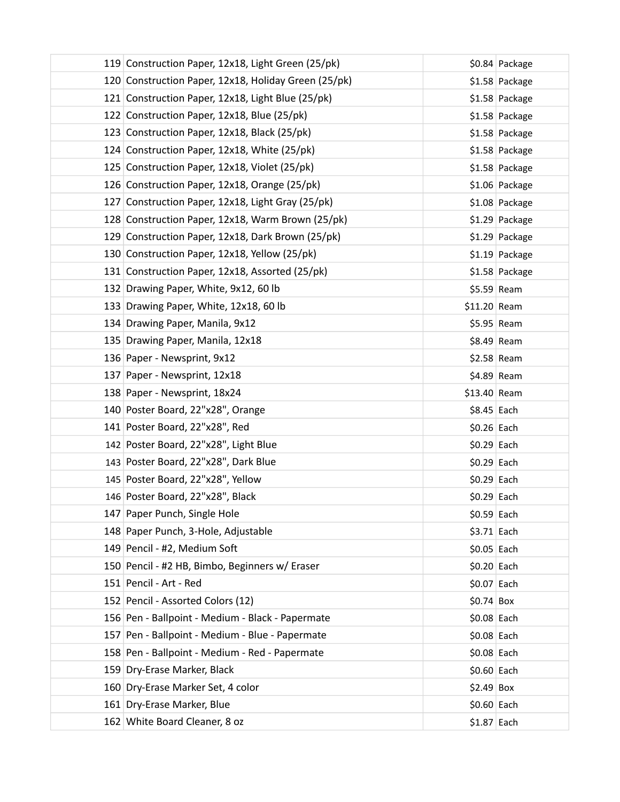| 119 Construction Paper, 12x18, Light Green (25/pk)   |               | \$0.84 Package |
|------------------------------------------------------|---------------|----------------|
| 120 Construction Paper, 12x18, Holiday Green (25/pk) |               | \$1.58 Package |
| 121 Construction Paper, 12x18, Light Blue (25/pk)    |               | \$1.58 Package |
| 122 Construction Paper, 12x18, Blue (25/pk)          |               | \$1.58 Package |
| 123 Construction Paper, 12x18, Black (25/pk)         |               | \$1.58 Package |
| 124 Construction Paper, 12x18, White (25/pk)         |               | \$1.58 Package |
| 125 Construction Paper, 12x18, Violet (25/pk)        |               | \$1.58 Package |
| 126 Construction Paper, 12x18, Orange (25/pk)        |               | \$1.06 Package |
| 127 Construction Paper, 12x18, Light Gray (25/pk)    |               | \$1.08 Package |
| 128 Construction Paper, 12x18, Warm Brown (25/pk)    |               | \$1.29 Package |
| 129 Construction Paper, 12x18, Dark Brown (25/pk)    |               | \$1.29 Package |
| 130 Construction Paper, 12x18, Yellow (25/pk)        |               | \$1.19 Package |
| 131 Construction Paper, 12x18, Assorted (25/pk)      |               | \$1.58 Package |
| 132 Drawing Paper, White, 9x12, 60 lb                |               | $$5.59$ Ream   |
| 133 Drawing Paper, White, 12x18, 60 lb               | $$11.20$ Ream |                |
| 134 Drawing Paper, Manila, 9x12                      |               | $$5.95$ Ream   |
| 135 Drawing Paper, Manila, 12x18                     |               | $$8.49$ Ream   |
| 136 Paper - Newsprint, 9x12                          |               | $$2.58$ Ream   |
| 137 Paper - Newsprint, 12x18                         |               | $$4.89$ Ream   |
| 138 Paper - Newsprint, 18x24                         | $$13.40$ Ream |                |
| 140 Poster Board, 22"x28", Orange                    | $$8.45$ Each  |                |
| 141 Poster Board, 22"x28", Red                       | $$0.26$ Each  |                |
| 142 Poster Board, 22"x28", Light Blue                | $$0.29$ Each  |                |
| 143 Poster Board, 22"x28", Dark Blue                 | $$0.29$ Each  |                |
| 145 Poster Board, 22"x28", Yellow                    | $$0.29$ Each  |                |
| 146 Poster Board, 22"x28", Black                     | $$0.29$ Each  |                |
| 147 Paper Punch, Single Hole                         | $$0.59$ Each  |                |
| 148 Paper Punch, 3-Hole, Adjustable                  | $$3.71$ Each  |                |
| 149 Pencil - #2, Medium Soft                         | $$0.05$ Each  |                |
| 150 Pencil - #2 HB, Bimbo, Beginners w/ Eraser       | $$0.20$ Each  |                |
| 151 Pencil - Art - Red                               | $$0.07$ Each  |                |
| 152 Pencil - Assorted Colors (12)                    | $$0.74$ Box   |                |
| 156 Pen - Ballpoint - Medium - Black - Papermate     | $$0.08$ Each  |                |
| 157 Pen - Ballpoint - Medium - Blue - Papermate      | $$0.08$ Each  |                |
| 158 Pen - Ballpoint - Medium - Red - Papermate       | $$0.08$ Each  |                |
| 159 Dry-Erase Marker, Black                          | $$0.60$ Each  |                |
| 160 Dry-Erase Marker Set, 4 color                    | $$2.49$ Box   |                |
| 161 Dry-Erase Marker, Blue                           | $$0.60$ Each  |                |
| 162 White Board Cleaner, 8 oz                        | $$1.87$ Each  |                |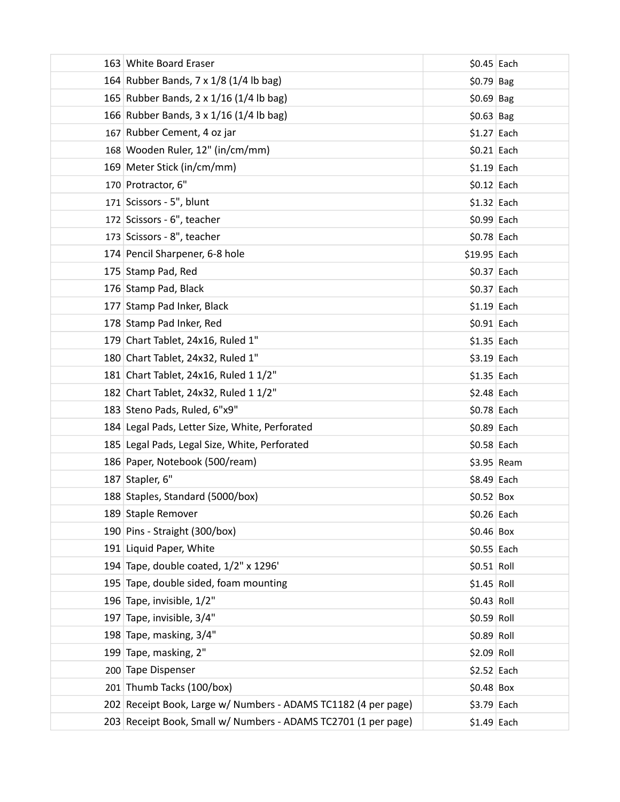| 163 White Board Eraser                                         | $$0.45$ Each  |              |
|----------------------------------------------------------------|---------------|--------------|
| 164 Rubber Bands, 7 x 1/8 (1/4 lb bag)                         | $$0.79$ Bag   |              |
| 165 Rubber Bands, 2 x 1/16 (1/4 lb bag)                        | $$0.69$ Bag   |              |
| 166 Rubber Bands, 3 x 1/16 (1/4 lb bag)                        | $$0.63$ Bag   |              |
| 167 Rubber Cement, 4 oz jar                                    | $$1.27$ Each  |              |
| 168 Wooden Ruler, 12" (in/cm/mm)                               | $$0.21$ Each  |              |
| 169 Meter Stick (in/cm/mm)                                     | $$1.19$ Each  |              |
| 170 Protractor, 6"                                             | $$0.12$ Each  |              |
| 171 Scissors - 5", blunt                                       | $$1.32$ Each  |              |
| 172 Scissors - 6", teacher                                     | $$0.99$ Each  |              |
| 173 Scissors - 8", teacher                                     | $$0.78$ Each  |              |
| 174 Pencil Sharpener, 6-8 hole                                 | $$19.95$ Each |              |
| 175 Stamp Pad, Red                                             | $$0.37$ Each  |              |
| 176 Stamp Pad, Black                                           | $$0.37$ Each  |              |
| 177 Stamp Pad Inker, Black                                     | $$1.19$ Each  |              |
| 178 Stamp Pad Inker, Red                                       | $$0.91$ Each  |              |
| 179 Chart Tablet, 24x16, Ruled 1"                              | $$1.35$ Each  |              |
| 180 Chart Tablet, 24x32, Ruled 1"                              | $$3.19$ Each  |              |
| 181 Chart Tablet, 24x16, Ruled 1 1/2"                          | $$1.35$ Each  |              |
| 182 Chart Tablet, 24x32, Ruled 1 1/2"                          | $$2.48$ Each  |              |
| 183 Steno Pads, Ruled, 6"x9"                                   | $$0.78$ Each  |              |
| 184 Legal Pads, Letter Size, White, Perforated                 | $$0.89$ Each  |              |
| 185 Legal Pads, Legal Size, White, Perforated                  | $$0.58$ Each  |              |
| 186 Paper, Notebook (500/ream)                                 |               | $$3.95$ Ream |
| 187 Stapler, 6"                                                | $$8.49$ Each  |              |
| 188 Staples, Standard (5000/box)                               | $$0.52$ Box   |              |
| 189 Staple Remover                                             | $$0.26$ Each  |              |
| 190 Pins - Straight (300/box)                                  | $$0.46$ Box   |              |
| 191 Liquid Paper, White                                        | $$0.55$ Each  |              |
| 194 Tape, double coated, 1/2" x 1296'                          | \$0.51 Roll   |              |
| 195 Tape, double sided, foam mounting                          | $$1.45$ Roll  |              |
| 196 Tape, invisible, 1/2"                                      | \$0.43 Roll   |              |
| 197 Tape, invisible, 3/4"                                      | \$0.59 Roll   |              |
| 198 Tape, masking, 3/4"                                        | \$0.89 Roll   |              |
| 199 Tape, masking, 2"                                          | $$2.09$ Roll  |              |
| 200 Tape Dispenser                                             | $$2.52$ Each  |              |
| 201 Thumb Tacks (100/box)                                      | $$0.48$ Box   |              |
| 202 Receipt Book, Large w/ Numbers - ADAMS TC1182 (4 per page) | $$3.79$ Each  |              |
| 203 Receipt Book, Small w/ Numbers - ADAMS TC2701 (1 per page) | $$1.49$ Each  |              |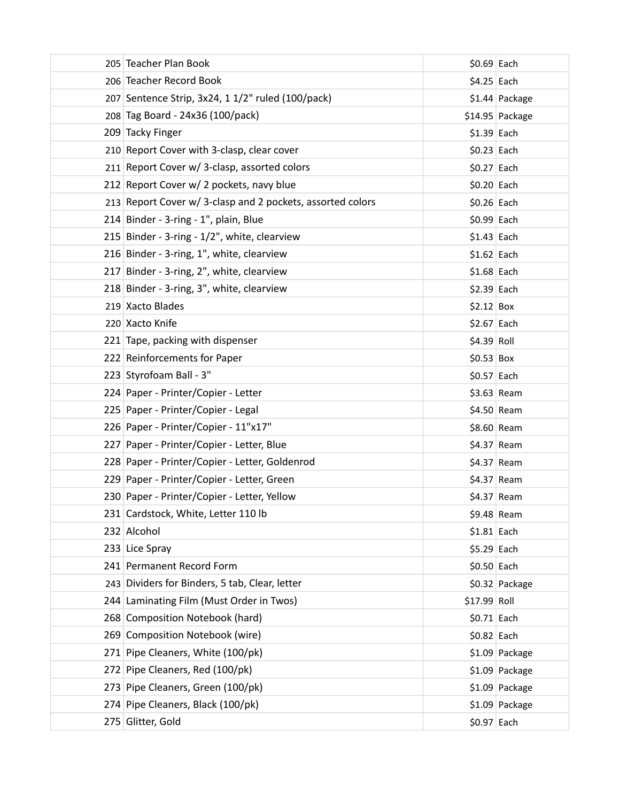| 205 Teacher Plan Book                                      | $$0.69$ Each |                 |
|------------------------------------------------------------|--------------|-----------------|
| 206 Teacher Record Book                                    | $$4.25$ Each |                 |
| 207 Sentence Strip, 3x24, 1 1/2" ruled (100/pack)          |              | \$1.44 Package  |
| 208 Tag Board - 24x36 (100/pack)                           |              | \$14.95 Package |
| 209 Tacky Finger                                           | $$1.39$ Each |                 |
| 210 Report Cover with 3-clasp, clear cover                 | $$0.23$ Each |                 |
| 211 Report Cover w/ 3-clasp, assorted colors               | $$0.27$ Each |                 |
| 212 Report Cover w/ 2 pockets, navy blue                   | $$0.20$ Each |                 |
| 213 Report Cover w/ 3-clasp and 2 pockets, assorted colors | $$0.26$ Each |                 |
| 214 Binder - 3-ring - 1", plain, Blue                      | $$0.99$ Each |                 |
| 215 Binder - 3-ring - 1/2", white, clearview               | $$1.43$ Each |                 |
| 216 Binder - 3-ring, 1", white, clearview                  | $$1.62$ Each |                 |
| 217 Binder - 3-ring, 2", white, clearview                  | $$1.68$ Each |                 |
| 218 Binder - 3-ring, 3", white, clearview                  | $$2.39$ Each |                 |
| 219 Xacto Blades                                           | $$2.12$ Box  |                 |
| 220 Xacto Knife                                            | $$2.67$ Each |                 |
| 221 Tape, packing with dispenser                           | $$4.39$ Roll |                 |
| 222 Reinforcements for Paper                               | $$0.53$ Box  |                 |
| 223 Styrofoam Ball - 3"                                    | $$0.57$ Each |                 |
| 224 Paper - Printer/Copier - Letter                        | $$3.63$ Ream |                 |
| 225 Paper - Printer/Copier - Legal                         | $$4.50$ Ream |                 |
| 226 Paper - Printer/Copier - 11"x17"                       | $$8.60$ Ream |                 |
| 227 Paper - Printer/Copier - Letter, Blue                  | $$4.37$ Ream |                 |
| 228 Paper - Printer/Copier - Letter, Goldenrod             | $$4.37$ Ream |                 |
| 229 Paper - Printer/Copier - Letter, Green                 | $$4.37$ Ream |                 |
| 230 Paper - Printer/Copier - Letter, Yellow                | $$4.37$ Ream |                 |
| 231 Cardstock, White, Letter 110 lb                        | $$9.48$ Ream |                 |
| 232 Alcohol                                                | $$1.81$ Each |                 |
| 233 Lice Spray                                             | $$5.29$ Each |                 |
| 241 Permanent Record Form                                  | $$0.50$ Each |                 |
| 243 Dividers for Binders, 5 tab, Clear, letter             |              | \$0.32 Package  |
| 244 Laminating Film (Must Order in Twos)                   | \$17.99 Roll |                 |
| 268 Composition Notebook (hard)                            | $$0.71$ Each |                 |
| 269 Composition Notebook (wire)                            | $$0.82$ Each |                 |
| 271 Pipe Cleaners, White (100/pk)                          |              | \$1.09 Package  |
| 272 Pipe Cleaners, Red (100/pk)                            |              | \$1.09 Package  |
| 273 Pipe Cleaners, Green (100/pk)                          |              | \$1.09 Package  |
| 274 Pipe Cleaners, Black (100/pk)                          |              | \$1.09 Package  |
| 275 Glitter, Gold                                          | $$0.97$ Each |                 |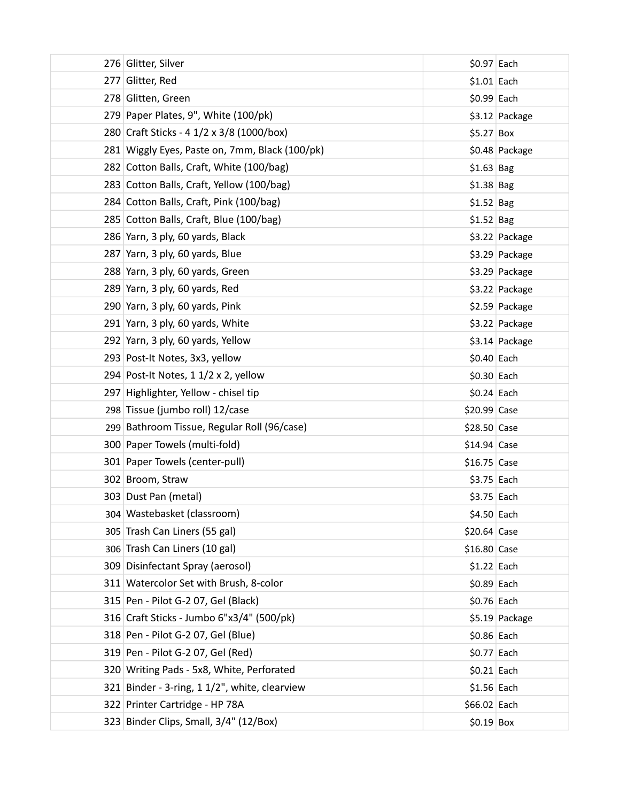| 276 Glitter, Silver                            | $$0.97$ Each  |                 |
|------------------------------------------------|---------------|-----------------|
| 277 Glitter, Red                               | $$1.01$ Each  |                 |
| 278 Glitten, Green                             | $$0.99$ Each  |                 |
| 279 Paper Plates, 9", White (100/pk)           |               | \$3.12 Package  |
| 280 Craft Sticks - 4 1/2 x 3/8 (1000/box)      | $$5.27$ Box   |                 |
| 281 Wiggly Eyes, Paste on, 7mm, Black (100/pk) |               | \$0.48 Package  |
| 282 Cotton Balls, Craft, White (100/bag)       | $$1.63$ Bag   |                 |
| 283 Cotton Balls, Craft, Yellow (100/bag)      | $$1.38$ Bag   |                 |
| 284 Cotton Balls, Craft, Pink (100/bag)        | $$1.52$ Bag   |                 |
| 285 Cotton Balls, Craft, Blue (100/bag)        | $$1.52$ Bag   |                 |
| 286 Yarn, 3 ply, 60 yards, Black               |               | \$3.22 Package  |
| 287 Yarn, 3 ply, 60 yards, Blue                |               | \$3.29 Package  |
| 288 Yarn, 3 ply, 60 yards, Green               |               | \$3.29 Package  |
| 289 Yarn, 3 ply, 60 yards, Red                 |               | \$3.22 Package  |
| 290 Yarn, 3 ply, 60 yards, Pink                |               | \$2.59 Package  |
| 291 Yarn, 3 ply, 60 yards, White               |               | \$3.22 Package  |
| 292 Yarn, 3 ply, 60 yards, Yellow              |               | $$3.14$ Package |
| 293 Post-It Notes, 3x3, yellow                 | $$0.40$ Each  |                 |
| 294 Post-It Notes, 1 1/2 x 2, yellow           | $$0.30$ Each  |                 |
| 297 Highlighter, Yellow - chisel tip           | $$0.24$ Each  |                 |
| 298 Tissue (jumbo roll) 12/case                | \$20.99 Case  |                 |
| 299 Bathroom Tissue, Regular Roll (96/case)    | \$28.50 Case  |                 |
| 300 Paper Towels (multi-fold)                  | $$14.94$ Case |                 |
| 301 Paper Towels (center-pull)                 | $$16.75$ Case |                 |
| 302 Broom, Straw                               | \$3.75 Each   |                 |
| 303 Dust Pan (metal)                           | $$3.75$ Each  |                 |
| 304 Wastebasket (classroom)                    | $$4.50$ Each  |                 |
| 305 Trash Can Liners (55 gal)                  | $$20.64$ Case |                 |
| 306 Trash Can Liners (10 gal)                  | \$16.80 Case  |                 |
| 309 Disinfectant Spray (aerosol)               | $$1.22$ Each  |                 |
| 311 Watercolor Set with Brush, 8-color         | $$0.89$ Each  |                 |
| 315 Pen - Pilot G-2 07, Gel (Black)            | $$0.76$ Each  |                 |
| 316 Craft Sticks - Jumbo 6"x3/4" (500/pk)      |               | \$5.19 Package  |
| 318 Pen - Pilot G-2 07, Gel (Blue)             | $$0.86$ Each  |                 |
| 319 Pen - Pilot G-2 07, Gel (Red)              | \$0.77 Each   |                 |
| 320 Writing Pads - 5x8, White, Perforated      | $$0.21$ Each  |                 |
| 321 Binder - 3-ring, 1 1/2", white, clearview  | $$1.56$ Each  |                 |
| 322 Printer Cartridge - HP 78A                 | \$66.02 Each  |                 |
| 323 Binder Clips, Small, 3/4" (12/Box)         | $$0.19$ Box   |                 |